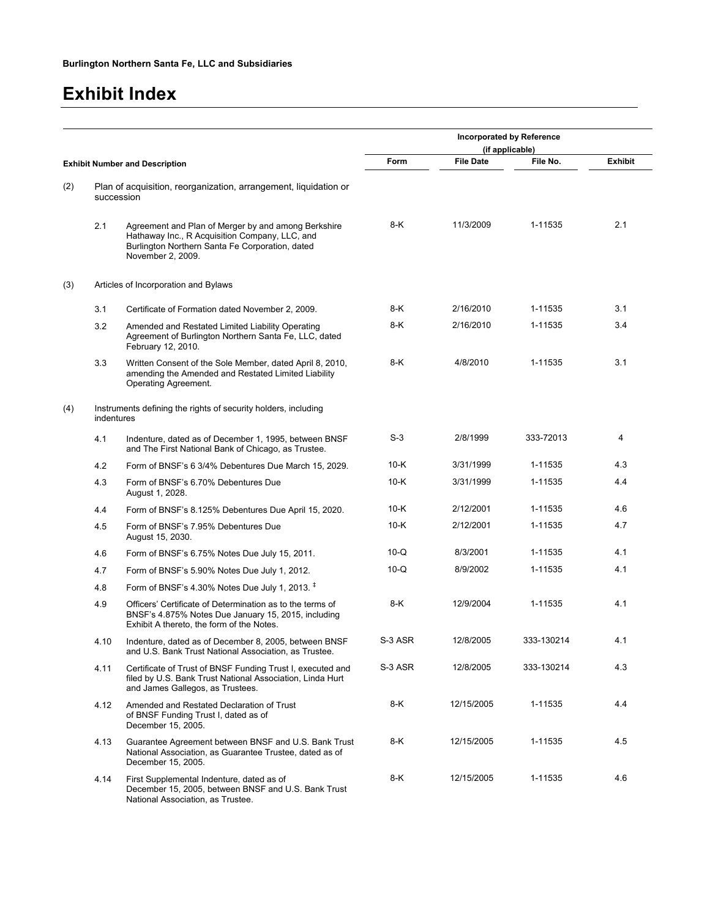# **Exhibit Index**

|     |            |                                                                                                                                                                               | <b>Incorporated by Reference</b><br>(if applicable) |                  |                |                |  |  |  |  |
|-----|------------|-------------------------------------------------------------------------------------------------------------------------------------------------------------------------------|-----------------------------------------------------|------------------|----------------|----------------|--|--|--|--|
|     |            | <b>Exhibit Number and Description</b>                                                                                                                                         | Form                                                | <b>File Date</b> | File No.       | <b>Exhibit</b> |  |  |  |  |
| (2) |            | Plan of acquisition, reorganization, arrangement, liquidation or<br>succession                                                                                                |                                                     |                  |                |                |  |  |  |  |
|     | 2.1        | Agreement and Plan of Merger by and among Berkshire<br>Hathaway Inc., R Acquisition Company, LLC, and<br>Burlington Northern Santa Fe Corporation, dated<br>November 2, 2009. | 8-K                                                 | 11/3/2009        | 1-11535        | 2.1            |  |  |  |  |
| (3) |            | Articles of Incorporation and Bylaws                                                                                                                                          |                                                     |                  |                |                |  |  |  |  |
|     | 3.1        | Certificate of Formation dated November 2, 2009.                                                                                                                              | 8-K                                                 | 2/16/2010        | 1-11535        | 3.1            |  |  |  |  |
|     | 3.2        | Amended and Restated Limited Liability Operating<br>Agreement of Burlington Northern Santa Fe, LLC, dated<br>February 12, 2010.                                               | 8-K                                                 | 2/16/2010        | 1-11535        | 3.4            |  |  |  |  |
|     | 3.3        | Written Consent of the Sole Member, dated April 8, 2010,<br>amending the Amended and Restated Limited Liability<br>Operating Agreement.                                       | 8-K                                                 | 4/8/2010         | 1-11535<br>3.1 |                |  |  |  |  |
| (4) | indentures | Instruments defining the rights of security holders, including                                                                                                                |                                                     |                  |                |                |  |  |  |  |
|     | 4.1        | Indenture, dated as of December 1, 1995, between BNSF<br>and The First National Bank of Chicago, as Trustee.                                                                  | $S-3$                                               | 2/8/1999         | 333-72013      | 4              |  |  |  |  |
|     | 4.2        | Form of BNSF's 6 3/4% Debentures Due March 15, 2029.                                                                                                                          | $10-K$                                              | 3/31/1999        | 1-11535        | 4.3            |  |  |  |  |
|     | 4.3        | Form of BNSF's 6.70% Debentures Due<br>August 1, 2028.                                                                                                                        | $10-K$                                              | 3/31/1999        | 1-11535        | 4.4            |  |  |  |  |
|     | 4.4        | Form of BNSF's 8.125% Debentures Due April 15, 2020.                                                                                                                          | $10-K$                                              | 2/12/2001        | 1-11535        | 4.6            |  |  |  |  |
|     | 4.5        | Form of BNSF's 7.95% Debentures Due<br>August 15, 2030.                                                                                                                       | $10-K$                                              | 2/12/2001        | 1-11535        | 4.7            |  |  |  |  |
|     | 4.6        | Form of BNSF's 6.75% Notes Due July 15, 2011.                                                                                                                                 | $10-Q$                                              | 8/3/2001         | 1-11535        | 4.1            |  |  |  |  |
|     | 4.7        | Form of BNSF's 5.90% Notes Due July 1, 2012.                                                                                                                                  | $10-Q$                                              | 8/9/2002         | 1-11535        | 4.1            |  |  |  |  |
|     | 4.8        | Form of BNSF's 4.30% Notes Due July 1, 2013. <sup>‡</sup>                                                                                                                     |                                                     |                  |                |                |  |  |  |  |
|     | 4.9        | Officers' Certificate of Determination as to the terms of<br>BNSF's 4.875% Notes Due January 15, 2015, including<br>Exhibit A thereto, the form of the Notes.                 | 8-K                                                 | 12/9/2004        | 1-11535        | 4.1            |  |  |  |  |
|     | 4.10       | Indenture, dated as of December 8, 2005, between BNSF<br>and U.S. Bank Trust National Association, as Trustee.                                                                | S-3 ASR                                             | 12/8/2005        | 333-130214     | 4.1            |  |  |  |  |
|     | 4.11       | Certificate of Trust of BNSF Funding Trust I, executed and<br>filed by U.S. Bank Trust National Association, Linda Hurt<br>and James Gallegos, as Trustees.                   | S-3 ASR                                             | 12/8/2005        | 333-130214     | 4.3            |  |  |  |  |
|     | 4.12       | Amended and Restated Declaration of Trust<br>of BNSF Funding Trust I, dated as of<br>December 15, 2005.                                                                       | $8-K$                                               | 12/15/2005       | 1-11535        | 4.4            |  |  |  |  |
|     | 4.13       | Guarantee Agreement between BNSF and U.S. Bank Trust<br>National Association, as Guarantee Trustee, dated as of<br>December 15, 2005.                                         | 8-K                                                 | 12/15/2005       | 1-11535        | 4.5            |  |  |  |  |
|     | 4.14       | First Supplemental Indenture, dated as of<br>December 15, 2005, between BNSF and U.S. Bank Trust<br>National Association, as Trustee.                                         | 8-K                                                 | 12/15/2005       | 1-11535        | 4.6            |  |  |  |  |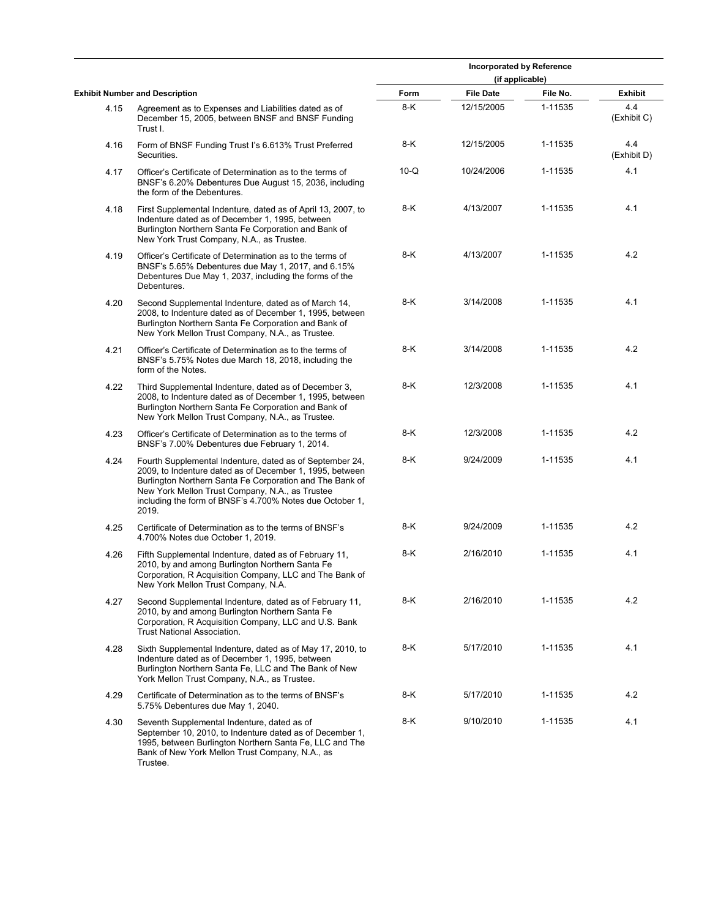|      |                                                                                                                                                                                                                                                                                                          | Incorporated by Reference<br>(if applicable) |                  |          |                    |  |  |  |  |  |
|------|----------------------------------------------------------------------------------------------------------------------------------------------------------------------------------------------------------------------------------------------------------------------------------------------------------|----------------------------------------------|------------------|----------|--------------------|--|--|--|--|--|
|      | <b>Exhibit Number and Description</b>                                                                                                                                                                                                                                                                    | Form                                         | <b>File Date</b> | File No. | <b>Exhibit</b>     |  |  |  |  |  |
| 4.15 | Agreement as to Expenses and Liabilities dated as of<br>December 15, 2005, between BNSF and BNSF Funding<br>Trust I.                                                                                                                                                                                     | 8-K                                          | 12/15/2005       | 1-11535  | 4.4<br>(Exhibit C) |  |  |  |  |  |
| 4.16 | Form of BNSF Funding Trust I's 6.613% Trust Preferred<br>Securities.                                                                                                                                                                                                                                     | 8-K                                          | 12/15/2005       | 1-11535  | 4.4<br>(Exhibit D) |  |  |  |  |  |
| 4.17 | Officer's Certificate of Determination as to the terms of<br>BNSF's 6.20% Debentures Due August 15, 2036, including<br>the form of the Debentures.                                                                                                                                                       | $10-Q$                                       | 10/24/2006       | 1-11535  | 4.1                |  |  |  |  |  |
| 4.18 | First Supplemental Indenture, dated as of April 13, 2007, to<br>Indenture dated as of December 1, 1995, between<br>Burlington Northern Santa Fe Corporation and Bank of<br>New York Trust Company, N.A., as Trustee.                                                                                     | 8-K                                          | 4/13/2007        | 1-11535  | 4.1                |  |  |  |  |  |
| 4.19 | Officer's Certificate of Determination as to the terms of<br>BNSF's 5.65% Debentures due May 1, 2017, and 6.15%<br>Debentures Due May 1, 2037, including the forms of the<br>Debentures.                                                                                                                 | 8-K                                          | 4/13/2007        | 1-11535  | 4.2                |  |  |  |  |  |
| 4.20 | Second Supplemental Indenture, dated as of March 14,<br>2008, to Indenture dated as of December 1, 1995, between<br>Burlington Northern Santa Fe Corporation and Bank of<br>New York Mellon Trust Company, N.A., as Trustee.                                                                             | 8-K                                          | 3/14/2008        |          | 4.1                |  |  |  |  |  |
| 4.21 | Officer's Certificate of Determination as to the terms of<br>BNSF's 5.75% Notes due March 18, 2018, including the<br>form of the Notes.                                                                                                                                                                  | 8-K                                          | 3/14/2008        | 1-11535  | 4.2                |  |  |  |  |  |
| 4.22 | Third Supplemental Indenture, dated as of December 3,<br>2008, to Indenture dated as of December 1, 1995, between<br>Burlington Northern Santa Fe Corporation and Bank of<br>New York Mellon Trust Company, N.A., as Trustee.                                                                            | 8-K                                          | 12/3/2008        | 1-11535  | 4.1                |  |  |  |  |  |
| 4.23 | Officer's Certificate of Determination as to the terms of<br>BNSF's 7.00% Debentures due February 1, 2014.                                                                                                                                                                                               | 8-K                                          | 12/3/2008        | 1-11535  | 4.2                |  |  |  |  |  |
| 4.24 | Fourth Supplemental Indenture, dated as of September 24,<br>2009, to Indenture dated as of December 1, 1995, between<br>Burlington Northern Santa Fe Corporation and The Bank of<br>New York Mellon Trust Company, N.A., as Trustee<br>including the form of BNSF's 4.700% Notes due October 1,<br>2019. | 8-K                                          | 9/24/2009        | 1-11535  | 4.1                |  |  |  |  |  |
| 4.25 | Certificate of Determination as to the terms of BNSF's<br>4.700% Notes due October 1, 2019.                                                                                                                                                                                                              | 8-K                                          | 9/24/2009        | 1-11535  | 4.2                |  |  |  |  |  |
| 4.26 | Fifth Supplemental Indenture, dated as of February 11,<br>2010, by and among Burlington Northern Santa Fe<br>Corporation, R Acquisition Company, LLC and The Bank of<br>New York Mellon Trust Company, N.A.                                                                                              | 8-K                                          | 2/16/2010        | 1-11535  | 4.1                |  |  |  |  |  |
| 4.27 | Second Supplemental Indenture, dated as of February 11,<br>2010, by and among Burlington Northern Santa Fe<br>Corporation, R Acquisition Company, LLC and U.S. Bank<br>Trust National Association.                                                                                                       | 8-K                                          | 2/16/2010        | 1-11535  | 4.2                |  |  |  |  |  |
| 4.28 | Sixth Supplemental Indenture, dated as of May 17, 2010, to<br>Indenture dated as of December 1, 1995, between<br>Burlington Northern Santa Fe, LLC and The Bank of New<br>York Mellon Trust Company, N.A., as Trustee.                                                                                   | 8-K                                          | 5/17/2010        | 1-11535  | 4.1                |  |  |  |  |  |
| 4.29 | Certificate of Determination as to the terms of BNSF's<br>5.75% Debentures due May 1, 2040.                                                                                                                                                                                                              | 8-K                                          | 5/17/2010        | 1-11535  | 4.2                |  |  |  |  |  |
| 4.30 | Seventh Supplemental Indenture, dated as of<br>September 10, 2010, to Indenture dated as of December 1,<br>1995, between Burlington Northern Santa Fe, LLC and The                                                                                                                                       | 8-K                                          | 9/10/2010        | 1-11535  | 4.1                |  |  |  |  |  |

Bank of New York Mellon Trust Company, N.A., as

Trustee.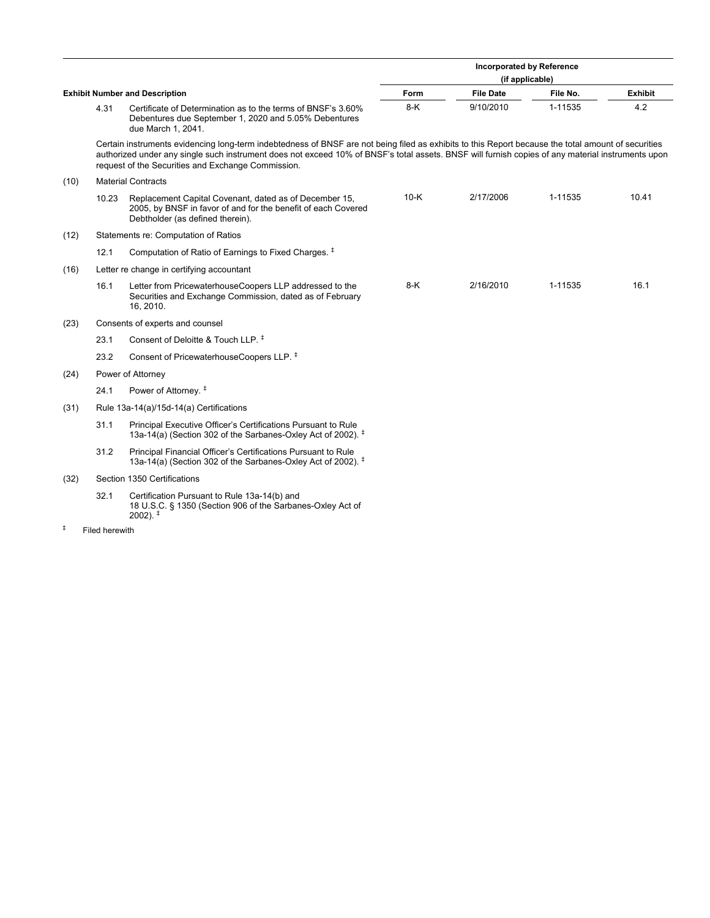|            |                       |                                                                                                                                                                                                                                                                                                                                                                | <b>Incorporated by Reference</b> |                  |          |                |  |  |
|------------|-----------------------|----------------------------------------------------------------------------------------------------------------------------------------------------------------------------------------------------------------------------------------------------------------------------------------------------------------------------------------------------------------|----------------------------------|------------------|----------|----------------|--|--|
|            |                       |                                                                                                                                                                                                                                                                                                                                                                | (if applicable)                  |                  |          |                |  |  |
|            |                       | <b>Exhibit Number and Description</b>                                                                                                                                                                                                                                                                                                                          | Form                             | <b>File Date</b> | File No. | <b>Exhibit</b> |  |  |
|            | 4.31                  | Certificate of Determination as to the terms of BNSF's 3.60%<br>Debentures due September 1, 2020 and 5.05% Debentures<br>due March 1, 2041.                                                                                                                                                                                                                    | $8-K$                            | 9/10/2010        | 1-11535  | 4.2            |  |  |
|            |                       | Certain instruments evidencing long-term indebtedness of BNSF are not being filed as exhibits to this Report because the total amount of securities<br>authorized under any single such instrument does not exceed 10% of BNSF's total assets. BNSF will furnish copies of any material instruments upon<br>request of the Securities and Exchange Commission. |                                  |                  |          |                |  |  |
| (10)       |                       | <b>Material Contracts</b>                                                                                                                                                                                                                                                                                                                                      |                                  |                  |          |                |  |  |
|            | 10.23                 | Replacement Capital Covenant, dated as of December 15,<br>2005, by BNSF in favor of and for the benefit of each Covered<br>Debtholder (as defined therein).                                                                                                                                                                                                    | $10-K$                           | 2/17/2006        | 1-11535  | 10.41          |  |  |
| (12)       |                       | Statements re: Computation of Ratios                                                                                                                                                                                                                                                                                                                           |                                  |                  |          |                |  |  |
|            | 12.1                  | Computation of Ratio of Earnings to Fixed Charges. <sup>‡</sup>                                                                                                                                                                                                                                                                                                |                                  |                  |          |                |  |  |
| (16)       |                       | Letter re change in certifying accountant                                                                                                                                                                                                                                                                                                                      |                                  |                  |          |                |  |  |
|            | 16.1                  | Letter from PricewaterhouseCoopers LLP addressed to the<br>Securities and Exchange Commission, dated as of February<br>16, 2010.                                                                                                                                                                                                                               | $8-K$                            | 2/16/2010        | 1-11535  | 16.1           |  |  |
| (23)       |                       | Consents of experts and counsel                                                                                                                                                                                                                                                                                                                                |                                  |                  |          |                |  |  |
|            | 23.1                  | Consent of Deloitte & Touch LLP. <sup>‡</sup>                                                                                                                                                                                                                                                                                                                  |                                  |                  |          |                |  |  |
|            | 23.2                  | Consent of PricewaterhouseCoopers LLP. <sup>‡</sup>                                                                                                                                                                                                                                                                                                            |                                  |                  |          |                |  |  |
| (24)       | Power of Attorney     |                                                                                                                                                                                                                                                                                                                                                                |                                  |                  |          |                |  |  |
|            | 24.1                  | Power of Attorney. <sup>‡</sup>                                                                                                                                                                                                                                                                                                                                |                                  |                  |          |                |  |  |
| (31)       |                       | Rule 13a-14(a)/15d-14(a) Certifications                                                                                                                                                                                                                                                                                                                        |                                  |                  |          |                |  |  |
|            | 31.1                  | Principal Executive Officer's Certifications Pursuant to Rule<br>13a-14(a) (Section 302 of the Sarbanes-Oxley Act of 2002). $\frac{1}{x}$                                                                                                                                                                                                                      |                                  |                  |          |                |  |  |
|            | 31.2                  | Principal Financial Officer's Certifications Pursuant to Rule<br>13a-14(a) (Section 302 of the Sarbanes-Oxley Act of 2002). $\frac{1}{2}$                                                                                                                                                                                                                      |                                  |                  |          |                |  |  |
| (32)       |                       | Section 1350 Certifications                                                                                                                                                                                                                                                                                                                                    |                                  |                  |          |                |  |  |
|            | 32.1                  | Certification Pursuant to Rule 13a-14(b) and<br>18 U.S.C. § 1350 (Section 906 of the Sarbanes-Oxley Act of<br>$2002$ ). $‡$                                                                                                                                                                                                                                    |                                  |                  |          |                |  |  |
| $\ddagger$ | <b>Filed herewith</b> |                                                                                                                                                                                                                                                                                                                                                                |                                  |                  |          |                |  |  |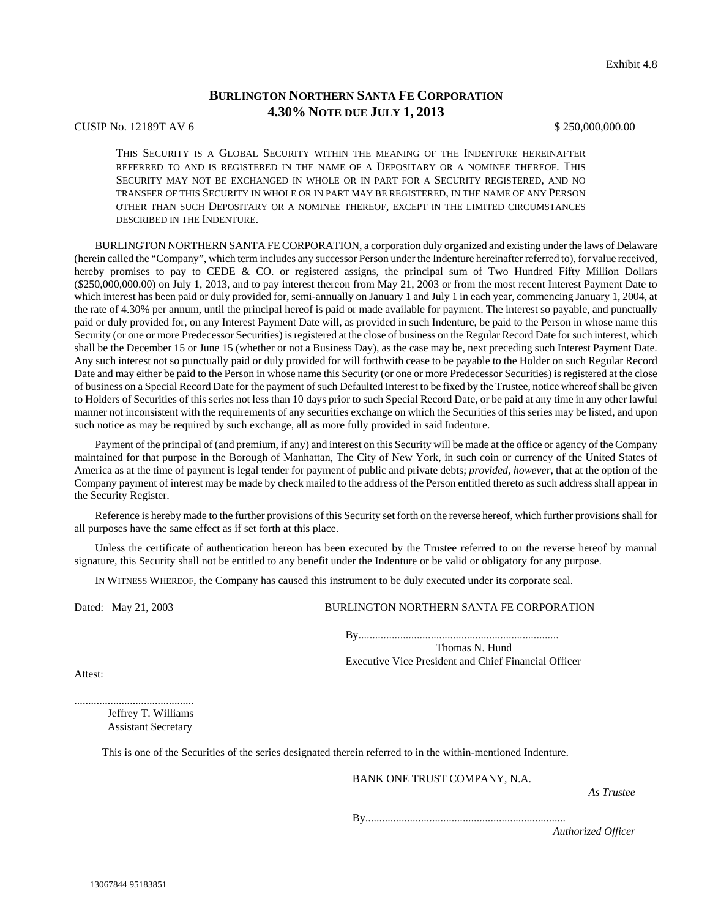### **BURLINGTON NORTHERN SANTA FE CORPORATION 4.30% NOTE DUE JULY 1, 2013**

CUSIP No. 12189T AV 6 \$ 250,000,000 \$ 250,000,000,000 \$ 250,000,000 \$ 3250,000,000 \$ 3250,000 \$ 250,000 \$ 3250

THIS SECURITY IS A GLOBAL SECURITY WITHIN THE MEANING OF THE INDENTURE HEREINAFTER REFERRED TO AND IS REGISTERED IN THE NAME OF A DEPOSITARY OR A NOMINEE THEREOF. THIS SECURITY MAY NOT BE EXCHANGED IN WHOLE OR IN PART FOR A SECURITY REGISTERED, AND NO TRANSFER OF THIS SECURITY IN WHOLE OR IN PART MAY BE REGISTERED, IN THE NAME OF ANY PERSON OTHER THAN SUCH DEPOSITARY OR A NOMINEE THEREOF, EXCEPT IN THE LIMITED CIRCUMSTANCES DESCRIBED IN THE INDENTURE.

BURLINGTON NORTHERN SANTA FE CORPORATION, a corporation duly organized and existing under the laws of Delaware (herein called the "Company", which term includes any successor Person under the Indenture hereinafter referred to), for value received, hereby promises to pay to CEDE & CO. or registered assigns, the principal sum of Two Hundred Fifty Million Dollars (\$250,000,000.00) on July 1, 2013, and to pay interest thereon from May 21, 2003 or from the most recent Interest Payment Date to which interest has been paid or duly provided for, semi-annually on January 1 and July 1 in each year, commencing January 1, 2004, at the rate of 4.30% per annum, until the principal hereof is paid or made available for payment. The interest so payable, and punctually paid or duly provided for, on any Interest Payment Date will, as provided in such Indenture, be paid to the Person in whose name this Security (or one or more Predecessor Securities) is registered at the close of business on the Regular Record Date for such interest, which shall be the December 15 or June 15 (whether or not a Business Day), as the case may be, next preceding such Interest Payment Date. Any such interest not so punctually paid or duly provided for will forthwith cease to be payable to the Holder on such Regular Record Date and may either be paid to the Person in whose name this Security (or one or more Predecessor Securities) is registered at the close of business on a Special Record Date for the payment of such Defaulted Interest to be fixed by the Trustee, notice whereof shall be given to Holders of Securities of this series not less than 10 days prior to such Special Record Date, or be paid at any time in any other lawful manner not inconsistent with the requirements of any securities exchange on which the Securities of this series may be listed, and upon such notice as may be required by such exchange, all as more fully provided in said Indenture.

Payment of the principal of (and premium, if any) and interest on this Security will be made at the office or agency of the Company maintained for that purpose in the Borough of Manhattan, The City of New York, in such coin or currency of the United States of America as at the time of payment is legal tender for payment of public and private debts; *provided*, *however*, that at the option of the Company payment of interest may be made by check mailed to the address of the Person entitled thereto as such address shall appear in the Security Register.

Reference is hereby made to the further provisions of this Security set forth on the reverse hereof, which further provisions shall for all purposes have the same effect as if set forth at this place.

Unless the certificate of authentication hereon has been executed by the Trustee referred to on the reverse hereof by manual signature, this Security shall not be entitled to any benefit under the Indenture or be valid or obligatory for any purpose.

IN WITNESS WHEREOF, the Company has caused this instrument to be duly executed under its corporate seal.

#### Dated: May 21, 2003 BURLINGTON NORTHERN SANTA FE CORPORATION

By........................................................................

Thomas N. Hund Executive Vice President and Chief Financial Officer

Attest:

 Jeffrey T. Williams Assistant Secretary

...........................................

This is one of the Securities of the series designated therein referred to in the within-mentioned Indenture.

BANK ONE TRUST COMPANY, N.A.

*As Trustee*

By........................................................................

*Authorized Officer*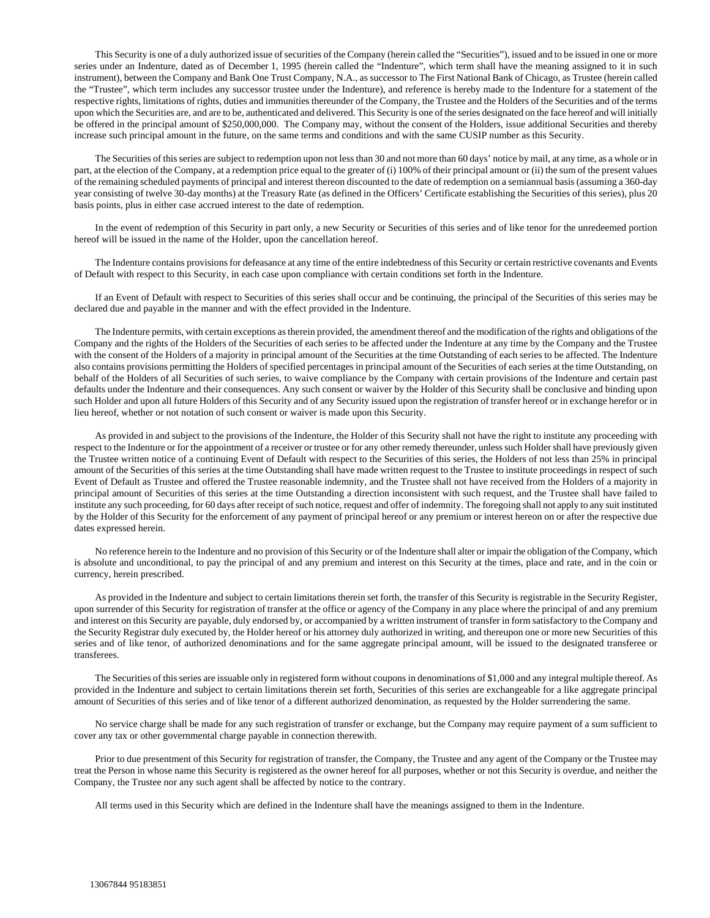This Security is one of a duly authorized issue of securities of the Company (herein called the "Securities"), issued and to be issued in one or more series under an Indenture, dated as of December 1, 1995 (herein called the "Indenture", which term shall have the meaning assigned to it in such instrument), between the Company and Bank One Trust Company, N.A., as successor to The First National Bank of Chicago, as Trustee (herein called the "Trustee", which term includes any successor trustee under the Indenture), and reference is hereby made to the Indenture for a statement of the respective rights, limitations of rights, duties and immunities thereunder of the Company, the Trustee and the Holders of the Securities and of the terms upon which the Securities are, and are to be, authenticated and delivered. This Security is one of the series designated on the face hereof and will initially be offered in the principal amount of \$250,000,000. The Company may, without the consent of the Holders, issue additional Securities and thereby increase such principal amount in the future, on the same terms and conditions and with the same CUSIP number as this Security.

The Securities of this series are subject to redemption upon not less than 30 and not more than 60 days' notice by mail, at any time, as a whole or in part, at the election of the Company, at a redemption price equal to the greater of (i) 100% of their principal amount or (ii) the sum of the present values of the remaining scheduled payments of principal and interest thereon discounted to the date of redemption on a semiannual basis (assuming a 360-day year consisting of twelve 30-day months) at the Treasury Rate (as defined in the Officers' Certificate establishing the Securities of this series), plus 20 basis points, plus in either case accrued interest to the date of redemption.

In the event of redemption of this Security in part only, a new Security or Securities of this series and of like tenor for the unredeemed portion hereof will be issued in the name of the Holder, upon the cancellation hereof.

The Indenture contains provisions for defeasance at any time of the entire indebtedness of this Security or certain restrictive covenants and Events of Default with respect to this Security, in each case upon compliance with certain conditions set forth in the Indenture.

If an Event of Default with respect to Securities of this series shall occur and be continuing, the principal of the Securities of this series may be declared due and payable in the manner and with the effect provided in the Indenture.

The Indenture permits, with certain exceptions as therein provided, the amendment thereof and the modification of the rights and obligations of the Company and the rights of the Holders of the Securities of each series to be affected under the Indenture at any time by the Company and the Trustee with the consent of the Holders of a majority in principal amount of the Securities at the time Outstanding of each series to be affected. The Indenture also contains provisions permitting the Holders of specified percentages in principal amount of the Securities of each series at the time Outstanding, on behalf of the Holders of all Securities of such series, to waive compliance by the Company with certain provisions of the Indenture and certain past defaults under the Indenture and their consequences. Any such consent or waiver by the Holder of this Security shall be conclusive and binding upon such Holder and upon all future Holders of this Security and of any Security issued upon the registration of transfer hereof or in exchange herefor or in lieu hereof, whether or not notation of such consent or waiver is made upon this Security.

As provided in and subject to the provisions of the Indenture, the Holder of this Security shall not have the right to institute any proceeding with respect to the Indenture or for the appointment of a receiver or trustee or for any other remedy thereunder, unless such Holder shall have previously given the Trustee written notice of a continuing Event of Default with respect to the Securities of this series, the Holders of not less than 25% in principal amount of the Securities of this series at the time Outstanding shall have made written request to the Trustee to institute proceedings in respect of such Event of Default as Trustee and offered the Trustee reasonable indemnity, and the Trustee shall not have received from the Holders of a majority in principal amount of Securities of this series at the time Outstanding a direction inconsistent with such request, and the Trustee shall have failed to institute any such proceeding, for 60 days after receipt of such notice, request and offer of indemnity. The foregoing shall not apply to any suit instituted by the Holder of this Security for the enforcement of any payment of principal hereof or any premium or interest hereon on or after the respective due dates expressed herein.

No reference herein to the Indenture and no provision of this Security or of the Indenture shall alter or impair the obligation of the Company, which is absolute and unconditional, to pay the principal of and any premium and interest on this Security at the times, place and rate, and in the coin or currency, herein prescribed.

As provided in the Indenture and subject to certain limitations therein set forth, the transfer of this Security is registrable in the Security Register, upon surrender of this Security for registration of transfer at the office or agency of the Company in any place where the principal of and any premium and interest on this Security are payable, duly endorsed by, or accompanied by a written instrument of transfer in form satisfactory to the Company and the Security Registrar duly executed by, the Holder hereof or his attorney duly authorized in writing, and thereupon one or more new Securities of this series and of like tenor, of authorized denominations and for the same aggregate principal amount, will be issued to the designated transferee or transferees.

The Securities of this series are issuable only in registered form without coupons in denominations of \$1,000 and any integral multiple thereof. As provided in the Indenture and subject to certain limitations therein set forth, Securities of this series are exchangeable for a like aggregate principal amount of Securities of this series and of like tenor of a different authorized denomination, as requested by the Holder surrendering the same.

No service charge shall be made for any such registration of transfer or exchange, but the Company may require payment of a sum sufficient to cover any tax or other governmental charge payable in connection therewith.

Prior to due presentment of this Security for registration of transfer, the Company, the Trustee and any agent of the Company or the Trustee may treat the Person in whose name this Security is registered as the owner hereof for all purposes, whether or not this Security is overdue, and neither the Company, the Trustee nor any such agent shall be affected by notice to the contrary.

All terms used in this Security which are defined in the Indenture shall have the meanings assigned to them in the Indenture.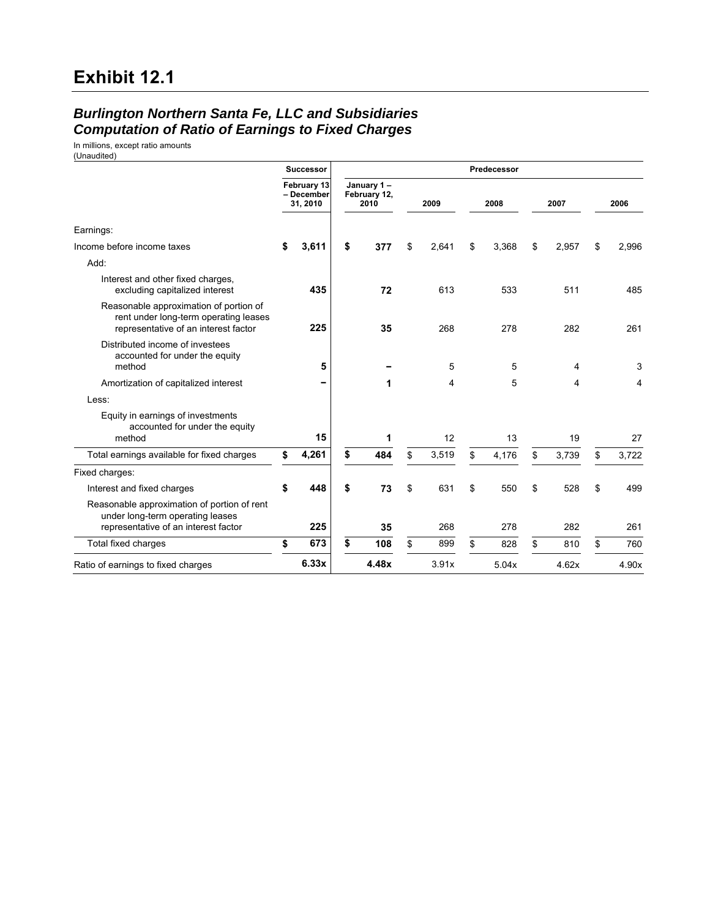#### *Burlington Northern Santa Fe, LLC and Subsidiaries Computation of Ratio of Earnings to Fixed Charges*

In millions, except ratio amounts (Unaudited)

|                                                                                                                         |                                       | <b>Successor</b> | Predecessor                        |       |      |       |      |       |      |       |      |       |
|-------------------------------------------------------------------------------------------------------------------------|---------------------------------------|------------------|------------------------------------|-------|------|-------|------|-------|------|-------|------|-------|
|                                                                                                                         | February 13<br>- December<br>31, 2010 |                  | January 1-<br>February 12,<br>2010 |       | 2009 |       | 2008 |       | 2007 |       | 2006 |       |
| Earnings:                                                                                                               |                                       |                  |                                    |       |      |       |      |       |      |       |      |       |
| Income before income taxes                                                                                              | \$                                    | 3,611            | \$                                 | 377   | \$   | 2,641 | \$   | 3,368 | \$   | 2,957 | \$   | 2,996 |
| Add:                                                                                                                    |                                       |                  |                                    |       |      |       |      |       |      |       |      |       |
| Interest and other fixed charges,<br>excluding capitalized interest                                                     |                                       | 435              |                                    | 72    |      | 613   |      | 533   |      | 511   |      | 485   |
| Reasonable approximation of portion of<br>rent under long-term operating leases<br>representative of an interest factor |                                       | 225              |                                    | 35    |      | 268   |      | 278   |      | 282   |      | 261   |
| Distributed income of investees<br>accounted for under the equity<br>method                                             |                                       | 5                |                                    |       |      | 5     |      | 5     |      | 4     |      | 3     |
| Amortization of capitalized interest                                                                                    |                                       |                  |                                    | 1     |      | 4     |      | 5     |      | 4     |      | 4     |
| Less:                                                                                                                   |                                       |                  |                                    |       |      |       |      |       |      |       |      |       |
| Equity in earnings of investments<br>accounted for under the equity<br>method                                           |                                       | 15               |                                    | 1     |      | 12    |      | 13    |      | 19    |      | 27    |
| Total earnings available for fixed charges                                                                              | \$                                    | 4,261            | \$                                 | 484   | \$   | 3,519 | \$   | 4,176 | \$   | 3,739 | \$   | 3,722 |
| Fixed charges:                                                                                                          |                                       |                  |                                    |       |      |       |      |       |      |       |      |       |
| Interest and fixed charges                                                                                              | \$                                    | 448              | \$                                 | 73    | \$   | 631   | \$   | 550   | \$   | 528   | \$   | 499   |
| Reasonable approximation of portion of rent<br>under long-term operating leases<br>representative of an interest factor |                                       | 225              |                                    | 35    |      | 268   |      | 278   |      | 282   |      | 261   |
| Total fixed charges                                                                                                     | \$                                    | 673              | \$                                 | 108   | \$   | 899   | \$   | 828   | \$   | 810   | \$   | 760   |
| Ratio of earnings to fixed charges                                                                                      |                                       | 6.33x            |                                    | 4.48x |      | 3.91x |      | 5.04x |      | 4.62x |      | 4.90x |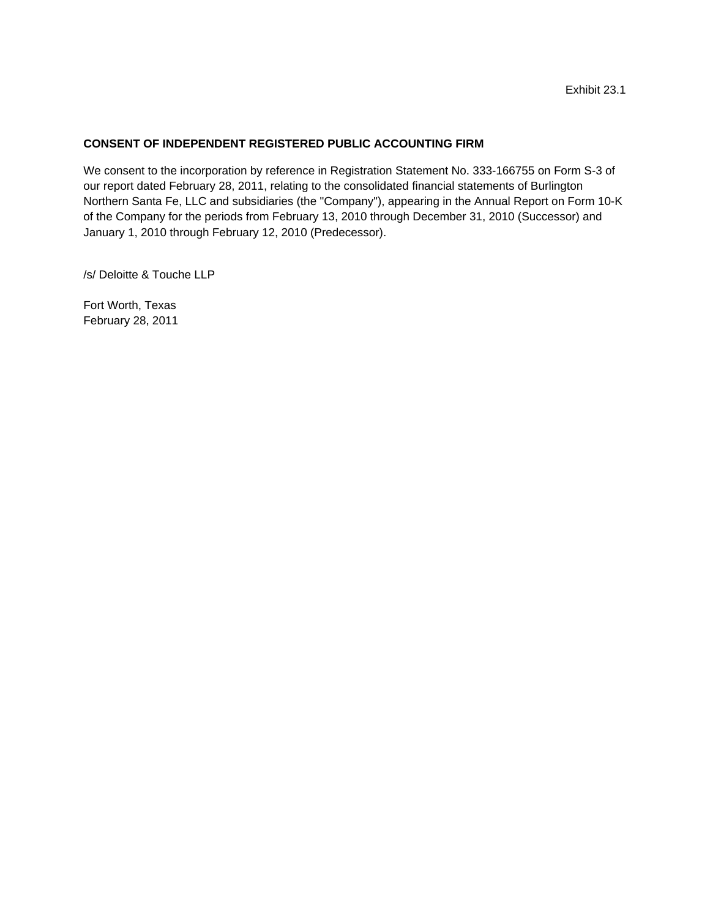#### **CONSENT OF INDEPENDENT REGISTERED PUBLIC ACCOUNTING FIRM**

We consent to the incorporation by reference in Registration Statement No. 333-166755 on Form S-3 of our report dated February 28, 2011, relating to the consolidated financial statements of Burlington Northern Santa Fe, LLC and subsidiaries (the "Company"), appearing in the Annual Report on Form 10-K of the Company for the periods from February 13, 2010 through December 31, 2010 (Successor) and January 1, 2010 through February 12, 2010 (Predecessor).

/s/ Deloitte & Touche LLP

Fort Worth, Texas February 28, 2011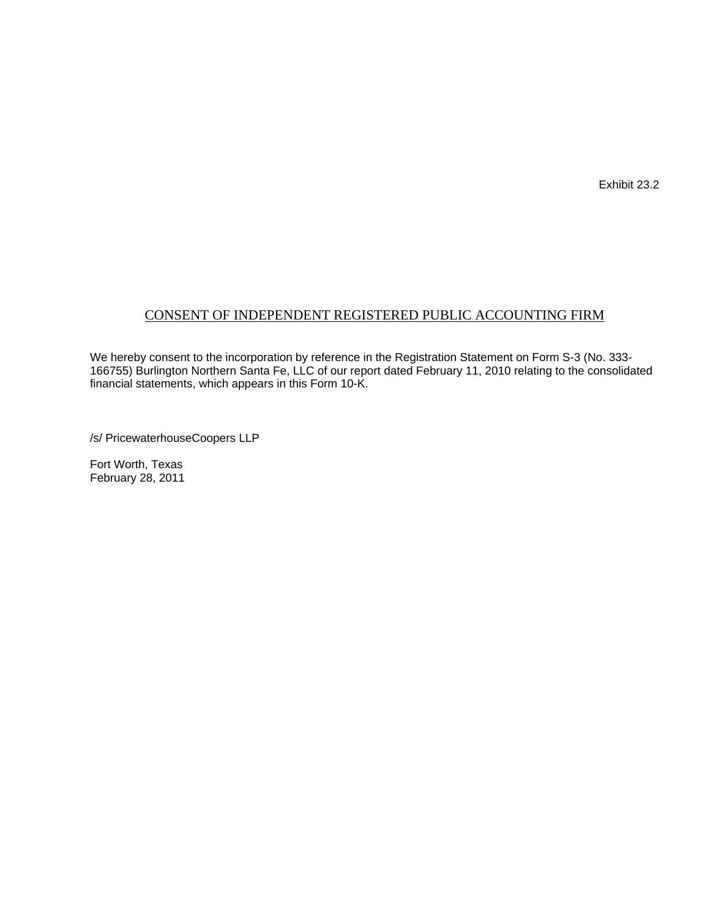Exhibit 23.2

#### CONSENT OF INDEPENDENT REGISTERED PUBLIC ACCOUNTING FIRM

We hereby consent to the incorporation by reference in the Registration Statement on Form S-3 (No. 333- 166755) Burlington Northern Santa Fe, LLC of our report dated February 11, 2010 relating to the consolidated financial statements, which appears in this Form 10-K.

/s/ PricewaterhouseCoopers LLP

Fort Worth, Texas February 28, 2011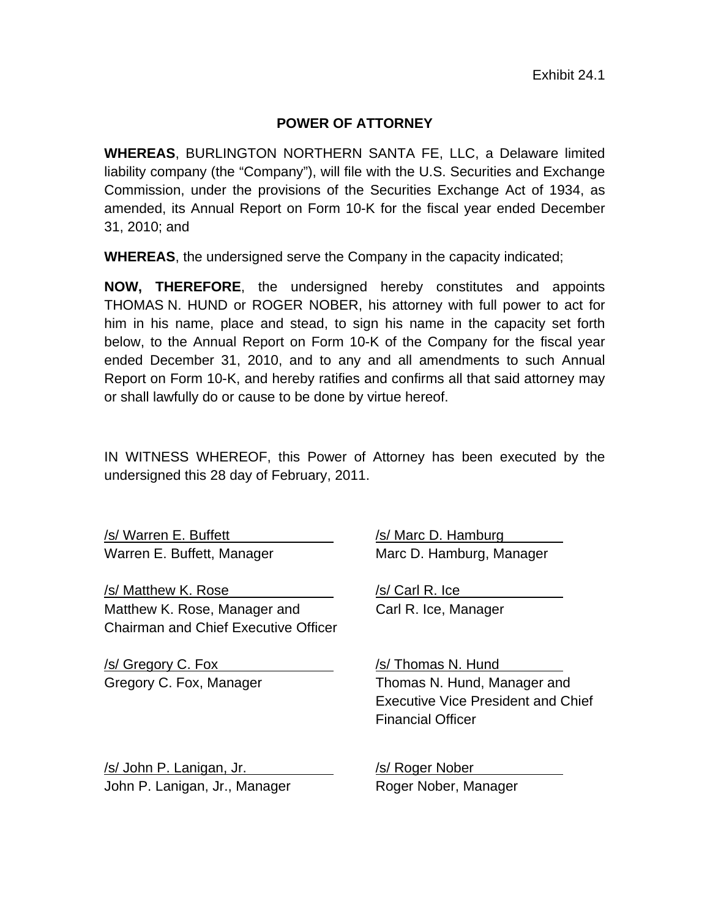## **POWER OF ATTORNEY**

**WHEREAS**, BURLINGTON NORTHERN SANTA FE, LLC, a Delaware limited liability company (the "Company"), will file with the U.S. Securities and Exchange Commission, under the provisions of the Securities Exchange Act of 1934, as amended, its Annual Report on Form 10-K for the fiscal year ended December 31, 2010; and

**WHEREAS**, the undersigned serve the Company in the capacity indicated;

**NOW, THEREFORE**, the undersigned hereby constitutes and appoints THOMAS N. HUND or ROGER NOBER, his attorney with full power to act for him in his name, place and stead, to sign his name in the capacity set forth below, to the Annual Report on Form 10-K of the Company for the fiscal year ended December 31, 2010, and to any and all amendments to such Annual Report on Form 10-K, and hereby ratifies and confirms all that said attorney may or shall lawfully do or cause to be done by virtue hereof.

IN WITNESS WHEREOF, this Power of Attorney has been executed by the undersigned this 28 day of February, 2011.

/s/ Warren E. Buffett /s/ Marc D. Hamburg

/s/ Matthew K. Rose /s/ Carl R. Ice Matthew K. Rose, Manager and Carl R. Ice, Manager Chairman and Chief Executive Officer

/s/ Gregory C. Fox /s/ Thomas N. Hund

Warren E. Buffett, Manager Marc D. Hamburg, Manager

Gregory C. Fox, Manager Thomas N. Hund, Manager and Executive Vice President and Chief Financial Officer

/s/ John P. Lanigan, Jr. /s/ Roger Nober John P. Lanigan, Jr., Manager **Roger Nober, Manager**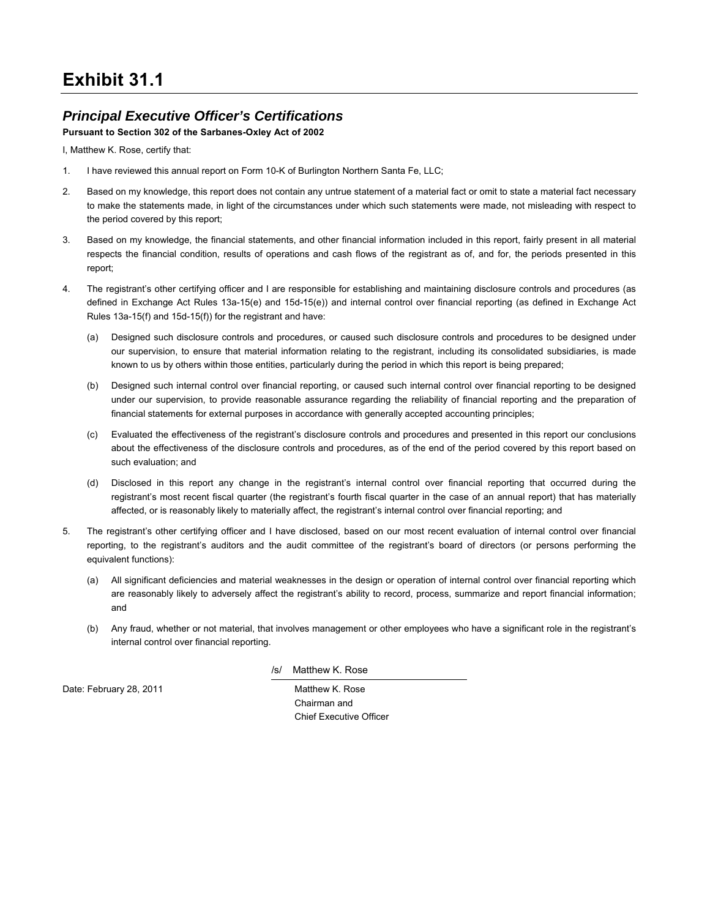# *Principal Executive Officer's Certifications*

**Pursuant to Section 302 of the Sarbanes-Oxley Act of 2002** 

I, Matthew K. Rose, certify that:

- 1. I have reviewed this annual report on Form 10-K of Burlington Northern Santa Fe, LLC;
- 2. Based on my knowledge, this report does not contain any untrue statement of a material fact or omit to state a material fact necessary to make the statements made, in light of the circumstances under which such statements were made, not misleading with respect to the period covered by this report;
- 3. Based on my knowledge, the financial statements, and other financial information included in this report, fairly present in all material respects the financial condition, results of operations and cash flows of the registrant as of, and for, the periods presented in this report;
- 4. The registrant's other certifying officer and I are responsible for establishing and maintaining disclosure controls and procedures (as defined in Exchange Act Rules 13a-15(e) and 15d-15(e)) and internal control over financial reporting (as defined in Exchange Act Rules 13a-15(f) and 15d-15(f)) for the registrant and have:
	- (a) Designed such disclosure controls and procedures, or caused such disclosure controls and procedures to be designed under our supervision, to ensure that material information relating to the registrant, including its consolidated subsidiaries, is made known to us by others within those entities, particularly during the period in which this report is being prepared;
	- (b) Designed such internal control over financial reporting, or caused such internal control over financial reporting to be designed under our supervision, to provide reasonable assurance regarding the reliability of financial reporting and the preparation of financial statements for external purposes in accordance with generally accepted accounting principles;
	- (c) Evaluated the effectiveness of the registrant's disclosure controls and procedures and presented in this report our conclusions about the effectiveness of the disclosure controls and procedures, as of the end of the period covered by this report based on such evaluation; and
	- (d) Disclosed in this report any change in the registrant's internal control over financial reporting that occurred during the registrant's most recent fiscal quarter (the registrant's fourth fiscal quarter in the case of an annual report) that has materially affected, or is reasonably likely to materially affect, the registrant's internal control over financial reporting; and
- 5. The registrant's other certifying officer and I have disclosed, based on our most recent evaluation of internal control over financial reporting, to the registrant's auditors and the audit committee of the registrant's board of directors (or persons performing the equivalent functions):
	- (a) All significant deficiencies and material weaknesses in the design or operation of internal control over financial reporting which are reasonably likely to adversely affect the registrant's ability to record, process, summarize and report financial information; and
	- (b) Any fraud, whether or not material, that involves management or other employees who have a significant role in the registrant's internal control over financial reporting.

/s/ Matthew K. Rose

Date: February 28, 2011 Matthew K. Rose

 Chairman and Chief Executive Officer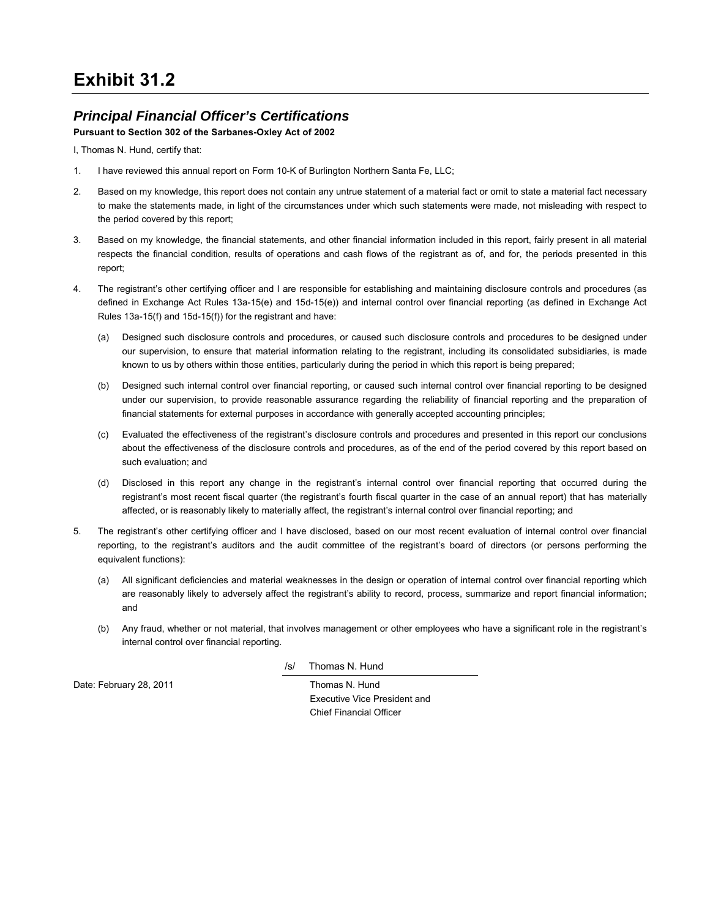### *Principal Financial Officer's Certifications*

**Pursuant to Section 302 of the Sarbanes-Oxley Act of 2002** 

I, Thomas N. Hund, certify that:

- 1. I have reviewed this annual report on Form 10-K of Burlington Northern Santa Fe, LLC;
- 2. Based on my knowledge, this report does not contain any untrue statement of a material fact or omit to state a material fact necessary to make the statements made, in light of the circumstances under which such statements were made, not misleading with respect to the period covered by this report;
- 3. Based on my knowledge, the financial statements, and other financial information included in this report, fairly present in all material respects the financial condition, results of operations and cash flows of the registrant as of, and for, the periods presented in this report;
- 4. The registrant's other certifying officer and I are responsible for establishing and maintaining disclosure controls and procedures (as defined in Exchange Act Rules 13a-15(e) and 15d-15(e)) and internal control over financial reporting (as defined in Exchange Act Rules 13a-15(f) and 15d-15(f)) for the registrant and have:
	- (a) Designed such disclosure controls and procedures, or caused such disclosure controls and procedures to be designed under our supervision, to ensure that material information relating to the registrant, including its consolidated subsidiaries, is made known to us by others within those entities, particularly during the period in which this report is being prepared;
	- (b) Designed such internal control over financial reporting, or caused such internal control over financial reporting to be designed under our supervision, to provide reasonable assurance regarding the reliability of financial reporting and the preparation of financial statements for external purposes in accordance with generally accepted accounting principles;
	- (c) Evaluated the effectiveness of the registrant's disclosure controls and procedures and presented in this report our conclusions about the effectiveness of the disclosure controls and procedures, as of the end of the period covered by this report based on such evaluation; and
	- (d) Disclosed in this report any change in the registrant's internal control over financial reporting that occurred during the registrant's most recent fiscal quarter (the registrant's fourth fiscal quarter in the case of an annual report) that has materially affected, or is reasonably likely to materially affect, the registrant's internal control over financial reporting; and
- 5. The registrant's other certifying officer and I have disclosed, based on our most recent evaluation of internal control over financial reporting, to the registrant's auditors and the audit committee of the registrant's board of directors (or persons performing the equivalent functions):
	- (a) All significant deficiencies and material weaknesses in the design or operation of internal control over financial reporting which are reasonably likely to adversely affect the registrant's ability to record, process, summarize and report financial information; and
	- (b) Any fraud, whether or not material, that involves management or other employees who have a significant role in the registrant's internal control over financial reporting.

/s/ Thomas N. Hund

Date: February 28, 2011 Case Contract Contract Contract Contract Contract Contract Contract Contract Contract Contract Contract Contract Contract Contract Contract Contract Contract Contract Contract Contract Contract Cont

Executive Vice President and Chief Financial Officer